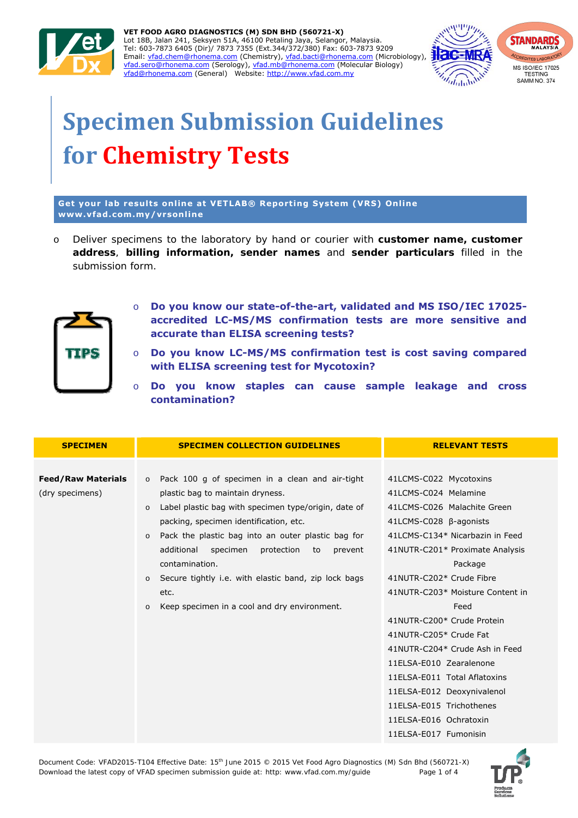

vfad@rhonema.com (General) Website: http://www.vfad.com.my vfad.com/ **VET FOOD AGRO DIAGNOSTICS (M) SDN BHD (560721-X)**  Lot 18B, Jalan 241, Seksyen 51A, 46100 Petaling Jaya, Selangor, Malaysia. Tel: 603-7873 6405 (Dir)/ 7873 7355 (Ext.344/372/380) Fax: 603-7873 9209 Email: vfad.chem@rhonema.com (Chemistry), vfad.bacti@rhonema.com (Microbiology), vfad.sero@rhonema.com (Serology), vfad.mb@rhonema.com (Molecular Biology)



# **Specimen Submission Guidelines for Chemistry Tests**

**Get your lab results online at VETLAB® Reporting System (VRS) Online www.vfad.com.my/vrsonline**

o *Deliver specimens to the laboratory by hand or courier with customer name, customer address, billing information, sender names and sender particulars filled in the submission form.* 



- o **Do you know our state-of-the-art, validated and MS ISO/IEC 17025 accredited LC-MS/MS confirmation tests are more sensitive and accurate than ELISA screening tests?**
- o **Do you know LC-MS/MS confirmation test is cost saving compared with ELISA screening test for Mycotoxin?**
- o **Do you know staples can cause sample leakage and cross contamination?**

| <b>SPECIMEN</b>                              | <b>SPECIMEN COLLECTION GUIDELINES</b>                                                                                                                                                                                                                                                                                     | <b>RELEVANT TESTS</b>                                                                                                                                                                                                                                                                                      |
|----------------------------------------------|---------------------------------------------------------------------------------------------------------------------------------------------------------------------------------------------------------------------------------------------------------------------------------------------------------------------------|------------------------------------------------------------------------------------------------------------------------------------------------------------------------------------------------------------------------------------------------------------------------------------------------------------|
| <b>Feed/Raw Materials</b><br>(dry specimens) | o Pack 100 g of specimen in a clean and air-tight<br>plastic bag to maintain dryness.                                                                                                                                                                                                                                     | 41LCMS-C022 Mycotoxins<br>41LCMS-C024 Melamine                                                                                                                                                                                                                                                             |
|                                              | Label plastic bag with specimen type/origin, date of<br>$\Omega$<br>packing, specimen identification, etc.<br>Pack the plastic bag into an outer plastic bag for<br>$\circ$<br>additional<br>specimen<br>protection<br>to<br>prevent<br>contamination.<br>Secure tightly i.e. with elastic band, zip lock bags<br>$\circ$ | 41LCMS-C026 Malachite Green<br>41LCMS-C028 β-agonists<br>41LCMS-C134* Nicarbazin in Feed<br>41NUTR-C201* Proximate Analysis<br>Package<br>41NUTR-C202* Crude Fibre                                                                                                                                         |
|                                              | etc.<br>Keep specimen in a cool and dry environment.<br>$\circ$                                                                                                                                                                                                                                                           | 41NUTR-C203* Moisture Content in<br>Feed<br>41NUTR-C200* Crude Protein<br>41NUTR-C205* Crude Fat<br>41NUTR-C204* Crude Ash in Feed<br>11ELSA-E010 Zearalenone<br>11ELSA-E011 Total Aflatoxins<br>11ELSA-E012 Deoxynivalenol<br>11ELSA-E015 Trichothenes<br>11ELSA-E016 Ochratoxin<br>11ELSA-E017 Fumonisin |

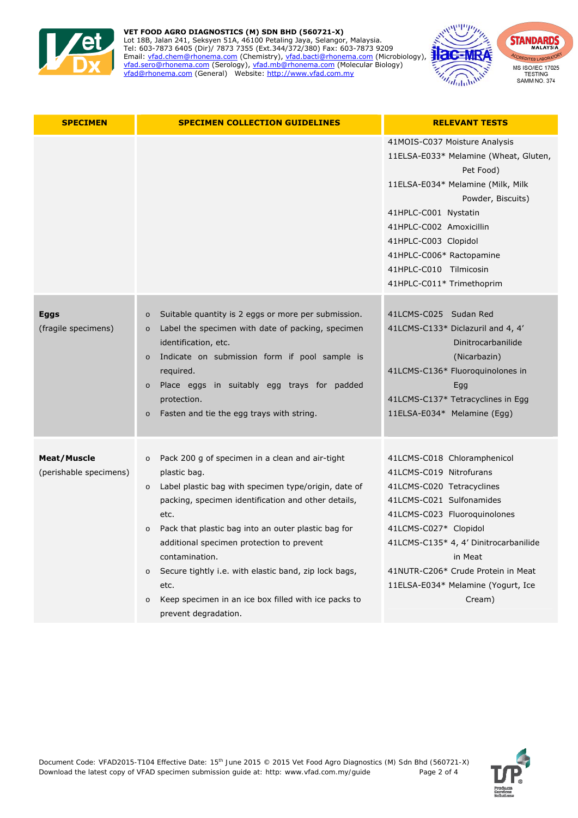

#### vfad@rhonema.com (General) Website: http://www.vfad.com.my vfad.com/ **VET FOOD AGRO DIAGNOSTICS (M) SDN BHD (560721-X)**  Lot 18B, Jalan 241, Seksyen 51A, 46100 Petaling Jaya, Selangor, Malaysia. Tel: 603-7873 6405 (Dir)/ 7873 7355 (Ext.344/372/380) Fax: 603-7873 9209 Email: vfad.chem@rhonema.com (Chemistry), vfad.bacti@rhonema.com (Microbiology), vfad.sero@rhonema.com (Serology), vfad.mb@rhonema.com (Molecular Biology) vfad@rhonema.com (General) Website: http://www.vfad.com.my



| <b>SPECIMEN</b>                              | <b>SPECIMEN COLLECTION GUIDELINES</b>                                                                                                                                                                                                                                                                                                                                                                                                                                                                     | <b>RELEVANT TESTS</b>                                                                                                                                                                                                                                                                                              |
|----------------------------------------------|-----------------------------------------------------------------------------------------------------------------------------------------------------------------------------------------------------------------------------------------------------------------------------------------------------------------------------------------------------------------------------------------------------------------------------------------------------------------------------------------------------------|--------------------------------------------------------------------------------------------------------------------------------------------------------------------------------------------------------------------------------------------------------------------------------------------------------------------|
|                                              |                                                                                                                                                                                                                                                                                                                                                                                                                                                                                                           | 41MOIS-C037 Moisture Analysis<br>11ELSA-E033* Melamine (Wheat, Gluten,<br>Pet Food)<br>11ELSA-E034* Melamine (Milk, Milk<br>Powder, Biscuits)<br>41HPLC-C001 Nystatin<br>41HPLC-C002 Amoxicillin<br>41HPLC-C003 Clopidol<br>41HPLC-C006* Ractopamine<br>41HPLC-C010 Tilmicosin<br>41HPLC-C011* Trimethoprim        |
| <b>Eggs</b><br>(fragile specimens)           | Suitable quantity is 2 eggs or more per submission.<br>$\circ$<br>Label the specimen with date of packing, specimen<br>$\circ$<br>identification, etc.<br>Indicate on submission form if pool sample is<br>$\circ$<br>required.<br>Place eggs in suitably egg trays for padded<br>$\circ$<br>protection.<br>Fasten and tie the egg trays with string.<br>$\circ$                                                                                                                                          | 41LCMS-C025 Sudan Red<br>41LCMS-C133* Diclazuril and 4, 4'<br>Dinitrocarbanilide<br>(Nicarbazin)<br>41LCMS-C136* Fluoroquinolones in<br>Egg<br>41LCMS-C137* Tetracyclines in Egg<br>11ELSA-E034* Melamine (Egg)                                                                                                    |
| <b>Meat/Muscle</b><br>(perishable specimens) | Pack 200 g of specimen in a clean and air-tight<br>$\circ$<br>plastic bag.<br>Label plastic bag with specimen type/origin, date of<br>$\circ$<br>packing, specimen identification and other details,<br>etc.<br>Pack that plastic bag into an outer plastic bag for<br>$\circ$<br>additional specimen protection to prevent<br>contamination.<br>Secure tightly i.e. with elastic band, zip lock bags,<br>$\circ$<br>etc.<br>Keep specimen in an ice box filled with ice packs to<br>prevent degradation. | 41LCMS-C018 Chloramphenicol<br>41LCMS-C019 Nitrofurans<br>41LCMS-C020 Tetracyclines<br>41LCMS-C021 Sulfonamides<br>41LCMS-C023 Fluoroquinolones<br>41LCMS-C027* Clopidol<br>41LCMS-C135* 4, 4' Dinitrocarbanilide<br>in Meat<br>41NUTR-C206* Crude Protein in Meat<br>11ELSA-E034* Melamine (Yogurt, Ice<br>Cream) |

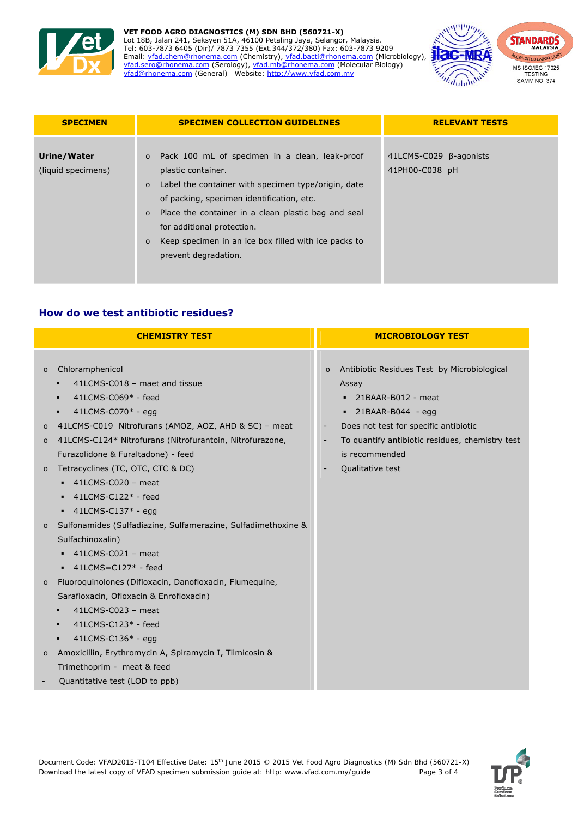

#### vfad@rhonema.com (General) Website: http://www.vfad.com.my vfad.com/ **VET FOOD AGRO DIAGNOSTICS (M) SDN BHD (560721-X)**  Lot 18B, Jalan 241, Seksyen 51A, 46100 Petaling Jaya, Selangor, Malaysia. Tel: 603-7873 6405 (Dir)/ 7873 7355 (Ext.344/372/380) Fax: 603-7873 9209 Email: vfad.chem@rhonema.com (Chemistry), vfad.bacti@rhonema.com (Microbiology), vfad.sero@rhonema.com (Serology), vfad.mb@rhonema.com (Molecular Biology) vfad@rhonema.com (General) Website: http://www.vfad.com.my



| <b>SPECIMEN</b>                   | <b>SPECIMEN COLLECTION GUIDELINES</b>                                                                                                                                                                                                                                                                                                                                            | <b>RELEVANT TESTS</b>                    |
|-----------------------------------|----------------------------------------------------------------------------------------------------------------------------------------------------------------------------------------------------------------------------------------------------------------------------------------------------------------------------------------------------------------------------------|------------------------------------------|
| Urine/Water<br>(liquid specimens) | o Pack 100 mL of specimen in a clean, leak-proof<br>plastic container.<br>Label the container with specimen type/origin, date<br>$\circ$<br>of packing, specimen identification, etc.<br>Place the container in a clean plastic bag and seal<br>$\circ$<br>for additional protection.<br>Keep specimen in an ice box filled with ice packs to<br>$\circ$<br>prevent degradation. | 41LCMS-C029 B-agonists<br>41PH00-C038 pH |

## **How do we test antibiotic residues?**

| <b>CHEMISTRY TEST</b>                                                                                                                                                                                                                                                                                                                                                                                                                                                                                                                                                                                                                                                                                                                                                                                                                                                                                                                      | <b>MICROBIOLOGY TEST</b>                                                                                                                                                                                                                                                                           |
|--------------------------------------------------------------------------------------------------------------------------------------------------------------------------------------------------------------------------------------------------------------------------------------------------------------------------------------------------------------------------------------------------------------------------------------------------------------------------------------------------------------------------------------------------------------------------------------------------------------------------------------------------------------------------------------------------------------------------------------------------------------------------------------------------------------------------------------------------------------------------------------------------------------------------------------------|----------------------------------------------------------------------------------------------------------------------------------------------------------------------------------------------------------------------------------------------------------------------------------------------------|
| Chloramphenicol<br>$\circ$<br>41LCMS-C018 - maet and tissue<br>41LCMS-C069* - feed<br>٠<br>41LCMS-C070* - egg<br>٠<br>41LCMS-C019 Nitrofurans (AMOZ, AOZ, AHD & SC) - meat<br>$\circ$<br>41LCMS-C124* Nitrofurans (Nitrofurantoin, Nitrofurazone,<br>$\circ$<br>Furazolidone & Furaltadone) - feed<br>Tetracyclines (TC, OTC, CTC & DC)<br>$\circ$<br>41LCMS-C020 - meat<br>$41$ LCMS-C $122*$ - feed<br>$\blacksquare$ 41LCMS-C137* - egg<br>Sulfonamides (Sulfadiazine, Sulfamerazine, Sulfadimethoxine &<br>$\circ$<br>Sulfachinoxalin)<br>41LCMS-C021 - meat<br>$-41$ LCMS=C127* - feed<br>Fluoroquinolones (Difloxacin, Danofloxacin, Flumequine,<br>$\circ$<br>Sarafloxacin, Ofloxacin & Enrofloxacin)<br>41LCMS-C023 - meat<br>٠<br>41LCMS-C123* - feed<br>٠<br>$41$ LCMS-C $136*$ - egg<br>٠<br>Amoxicillin, Erythromycin A, Spiramycin I, Tilmicosin &<br>$\circ$<br>Trimethoprim - meat & feed<br>Quantitative test (LOD to ppb) | Antibiotic Residues Test by Microbiological<br>$\circ$<br>Assay<br>$-21BAAR-B012$ - meat<br>21BAAR-B044 - egg<br>٠<br>Does not test for specific antibiotic<br>$\blacksquare$<br>To quantify antibiotic residues, chemistry test<br>$\overline{\phantom{a}}$<br>is recommended<br>Qualitative test |